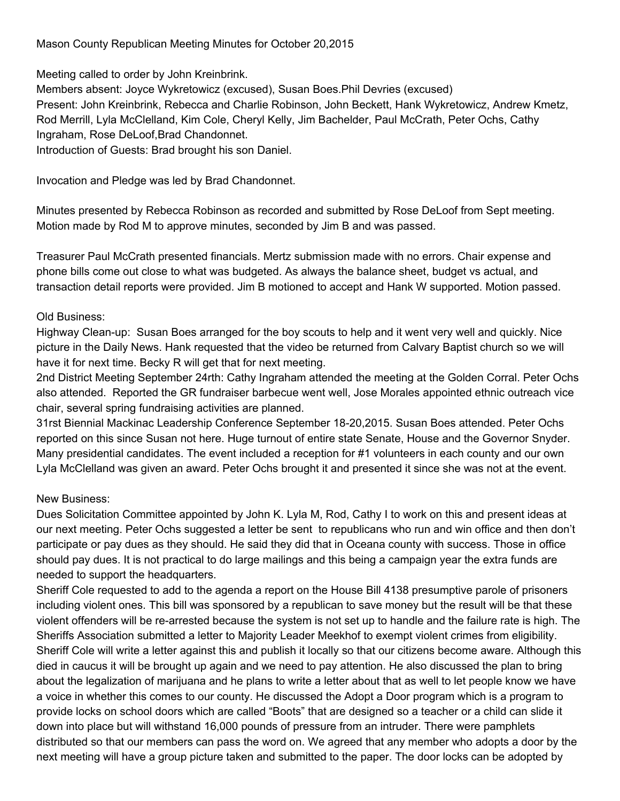Meeting called to order by John Kreinbrink.

Members absent: Joyce Wykretowicz (excused), Susan Boes.Phil Devries (excused)

Present: John Kreinbrink, Rebecca and Charlie Robinson, John Beckett, Hank Wykretowicz, Andrew Kmetz, Rod Merrill, Lyla McClelland, Kim Cole, Cheryl Kelly, Jim Bachelder, Paul McCrath, Peter Ochs, Cathy Ingraham, Rose DeLoof,Brad Chandonnet.

Introduction of Guests: Brad brought his son Daniel.

Invocation and Pledge was led by Brad Chandonnet.

Minutes presented by Rebecca Robinson as recorded and submitted by Rose DeLoof from Sept meeting. Motion made by Rod M to approve minutes, seconded by Jim B and was passed.

Treasurer Paul McCrath presented financials. Mertz submission made with no errors. Chair expense and phone bills come out close to what was budgeted. As always the balance sheet, budget vs actual, and transaction detail reports were provided. Jim B motioned to accept and Hank W supported. Motion passed.

## Old Business:

Highway Clean-up: Susan Boes arranged for the boy scouts to help and it went very well and quickly. Nice picture in the Daily News. Hank requested that the video be returned from Calvary Baptist church so we will have it for next time. Becky R will get that for next meeting.

2nd District Meeting September 24rth: Cathy Ingraham attended the meeting at the Golden Corral. Peter Ochs also attended. Reported the GR fundraiser barbecue went well, Jose Morales appointed ethnic outreach vice chair, several spring fundraising activities are planned.

31rst Biennial Mackinac Leadership Conference September 1820,2015. Susan Boes attended. Peter Ochs reported on this since Susan not here. Huge turnout of entire state Senate, House and the Governor Snyder. Many presidential candidates. The event included a reception for #1 volunteers in each county and our own Lyla McClelland was given an award. Peter Ochs brought it and presented it since she was not at the event.

## New Business:

Dues Solicitation Committee appointed by John K. Lyla M, Rod, Cathy I to work on this and present ideas at our next meeting. Peter Ochs suggested a letter be sent to republicans who run and win office and then don't participate or pay dues as they should. He said they did that in Oceana county with success. Those in office should pay dues. It is not practical to do large mailings and this being a campaign year the extra funds are needed to support the headquarters.

Sheriff Cole requested to add to the agenda a report on the House Bill 4138 presumptive parole of prisoners including violent ones. This bill was sponsored by a republican to save money but the result will be that these violent offenders will be re-arrested because the system is not set up to handle and the failure rate is high. The Sheriffs Association submitted a letter to Majority Leader Meekhof to exempt violent crimes from eligibility. Sheriff Cole will write a letter against this and publish it locally so that our citizens become aware. Although this died in caucus it will be brought up again and we need to pay attention. He also discussed the plan to bring about the legalization of marijuana and he plans to write a letter about that as well to let people know we have a voice in whether this comes to our county. He discussed the Adopt a Door program which is a program to provide locks on school doors which are called "Boots" that are designed so a teacher or a child can slide it down into place but will withstand 16,000 pounds of pressure from an intruder. There were pamphlets distributed so that our members can pass the word on. We agreed that any member who adopts a door by the next meeting will have a group picture taken and submitted to the paper. The door locks can be adopted by